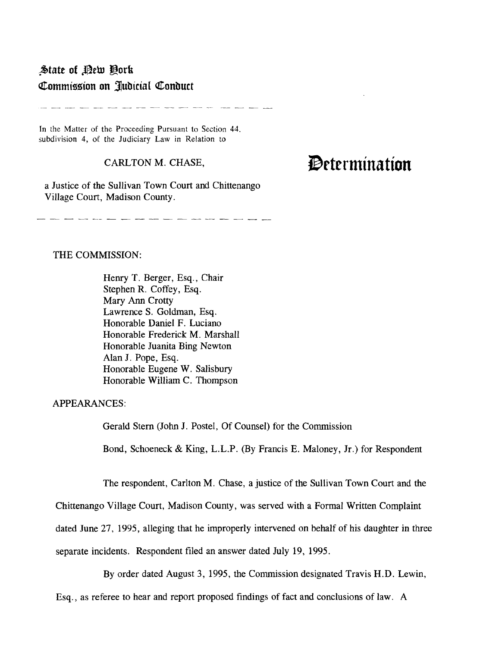## $\blacktriangle$ tate of *Pew P*ork Commission on Judicial Conduct

In the Matter of the Proceeding Pursuant to Section 44. subdivision 4, of the Judiciary Law in Relation to

## CARLTON M. CHASE,

فيهود بالمسار فللمراجع المتعارضات المتعارضات

a Justice of the Sullivan Town Court and Chittenango Village Court, Madison County.

## **IDrternlination**

THE COMMISSION:

Henry T. Berger, Esq., Chair Stephen R. Coffey, Esq. Mary Ann Crotty Lawrence S. Goldman, Esq. Honorable Daniel F. Luciano Honorable Frederick M. Marshall Honorable Juanita Bing Newton Alan J. Pope, Esq. Honorable Eugene W. Salisbury Honorable William C. Thompson

APPEARANCES:

Gerald Stern (John J. Postel, Of Counsel) for the Commission

Bond, Schoeneck & King, L.L.P. (By Francis E. Maloney, Jf.) for Respondent

The respondent, Carlton M. Chase, a justice of the Sullivan Town Court and the

Chittenango Village Court, Madison County, was served with a Formal Written Complaint

dated June 27, 1995, alleging that he improperly intervened on behalf of his daughter in three

separate incidents. Respondent filed an answer dated July 19, 1995.

By order dated August 3, 1995, the Commission designated Travis H.D. Lewin,

Esq., as referee to hear and report proposed findings of fact and conclusions of law. A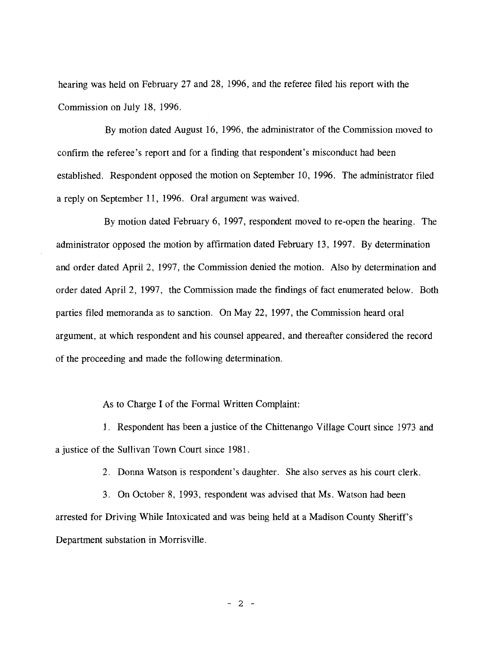hearing was held on February 27 and 28, 1996, and the referee filed his report with the Commission on July 18, 1996.

By motion dated August 16, 1996, the administrator of the Commission moved to confirm the referee's report and for a finding that respondent's misconduct had been established. Respondent opposed the motion on September 10, 1996. The administrator filed a reply on September 11, 1996. Oral argument was waived.

By motion dated February 6, 1997, respondent moved to re-open the hearing. The administrator opposed the motion by affirmation dated February 13, 1997. By determination and order dated April 2, 1997, the Commission denied the motion. Also by determination and order dated April 2, 1997, the Commission made the findings of fact enumerated below. Both parties filed memoranda as to sanction. On May 22, 1997, the Commission heard oral argument, at which respondent and his counsel appeared, and thereafter considered the record of the proceeding and made the following determination.

As to Charge I of the Formal Written Complaint:

1. Respondent has been a justice of the Chittenango Village Court since 1973 and a justice of the Sullivan Town Court since 1981.

2. Donna Watson is respondent's daughter. She also serves as his court clerk.

3. On October 8, 1993, respondent was advised that Ms. Watson had been arrested for Driving While Intoxicated and was being held at a Madison County Sheriff's Department substation in Morrisville.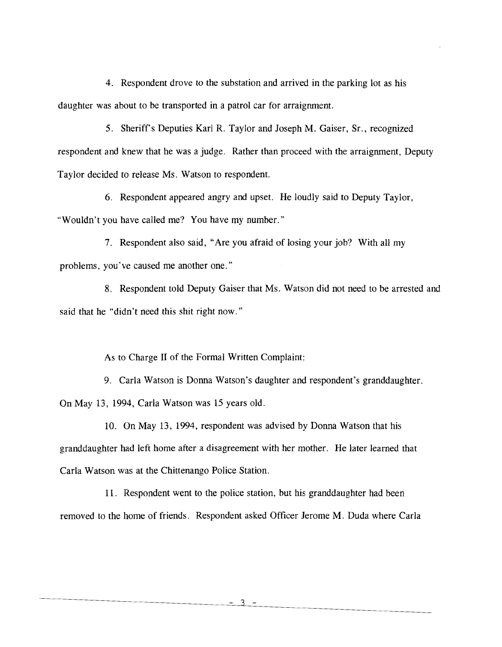4. Respondent drove to the substation and arrived in the parking lot as his daughter was about to be transported in a patrol car for arraignment.

5. Sheriff's Deputies Karl R. Taylor and Joseph M. Gaiser, Sr., recognized respondent and knew that he was a judge. Rather than proceed with the arraignment, Deputy Taylor decided to release Ms. Watson to respondent.

6. Respondent appeared angry and upset. He loudly said to Deputy Taylor, "Wouldn't you have called me? You have my number."

7. Respondent also said, "Are you afraid of losing your job? With all my problems, you've caused me another one."

8. Respondent told Deputy Gaiser that Ms. Watson did not need to be arrested and said that he "didn't need this shit right now."

As to Charge II of the Formal Written Complaint:

9. Carla Watson is Donna Watson's daughter and respondent's granddaughter. On May 13, 1994, Carla Watson was 15 years old.

10. On May 13, 1994, respondent was advised by Donna Watson that his granddaughter had left home after a disagreement with her mother. He later learned that Carla Watson was at the Chittenango Police Station.

11. Respondent went to the police station, but his granddaughter had been removed to the home of friends. Respondent asked Officer Jerome M. Duda where Carla

 $3 -$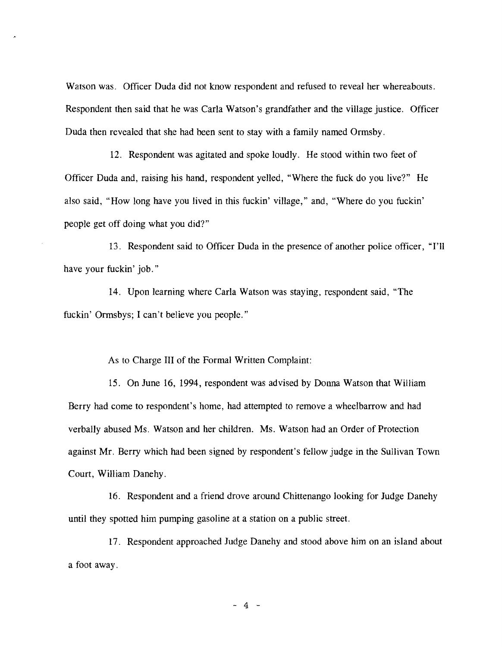Watson was. Officer Duda did not know respondent and refused to reveal her whereabouts. Respondent then said that he was Carla Watson's grandfather and the village justice. Officer Duda then revealed that she had been sent to stay with a family named Ormsby.

12. Respondent was agitated and spoke loudly. He stood within two feet of Officer Duda and, raising his hand, respondent yelled, "Where the fuck do you live?" He also said, "How long have you lived in this fuckin' village," and, "Where do you fuckin' people get off doing what you did?"

13. Respondent said to Officer Duda in the presence of another police officer, "I'll have your fuckin' job."

14. Upon learning where Carla Watson was staying, respondent said, "The fuckin' Ormsbys; I can't believe you people."

As to Charge III of the Formal Written Complaint:

15. On June 16, 1994, respondent was advised by Donna Watson that William Berry had come to respondent's home, had attempted to remove a wheelbarrow and had verbally abused Ms. Watson and her children. Ms. Watson had an Order of Protection against Mr. Berry which had been signed by respondent's fellow judge in the Sullivan Town Court, William Danehy.

16. Respondent and a friend drove around Chittenango looking for Judge Danehy until they spotted him pumping gasoline at a station on a public street.

17. Respondent approached Judge Danehy and stood above him on an island about a foot away.

 $-4 -$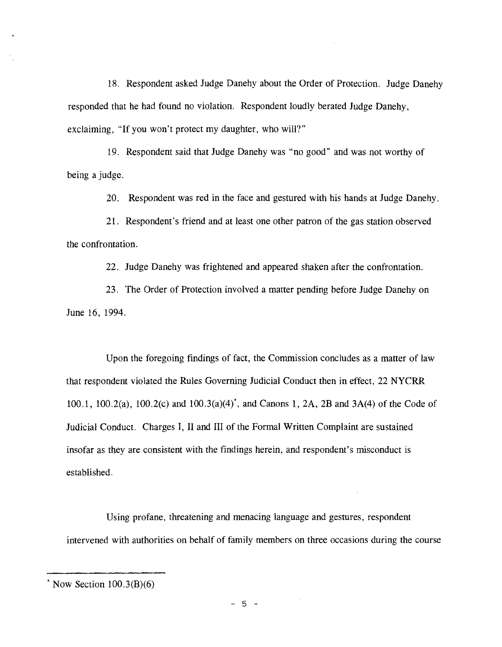18. Respondent asked Judge Danehy about the Order of Protection. Judge Danehy responded that he had found no violation. Respondent loudly berated Judge Danehy, exclaiming, "If you won't protect my daughter, who will?"

19. Respondent said that Judge Danehy was "no good" and was not worthy of being a judge.

20. Respondent was red in the face and gestured with his hands at Judge Danehy.

21. Respondent's friend and at least one other patron of the gas station observed the confrontation.

22. Judge Danehy was frightened and appeared shaken after the confrontation.

23. The Order of Protection involved a matter pending before Judge Danehy on June 16, 1994.

Upon the foregoing findings of fact, the Commission concludes as a matter of law that respondent violated the Rules Governing Judicial Conduct then in effect, 22 NYCRR 100.1, 100.2(a), 100.2(c) and 100.3(a)(4)\*, and Canons 1, 2A, 2B and 3A(4) of the Code of Judicial Conduct. Charges **I,** II and III of the Formal Written Complaint are sustained insofar as they are consistent with the findings herein, and respondent's misconduct is established.

Using profane, threatening and menacing language and gestures, respondent intervened with authorities on behalf of family members on three occasions during the course

- 5 -

Now Section 100.3(B)(6)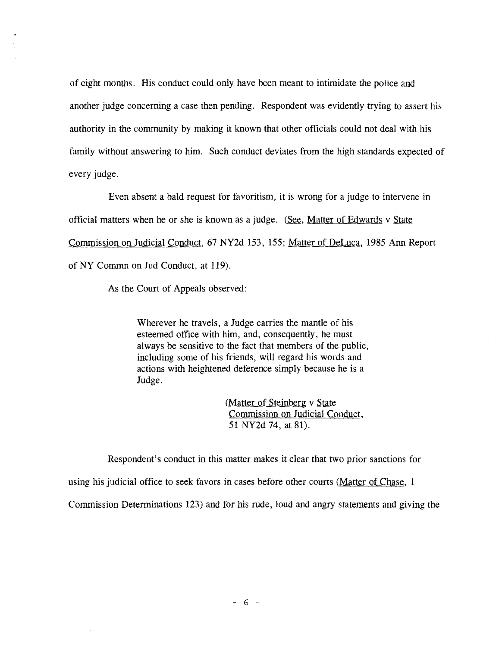of eight months. His conduct could only have been meant to intimidate the police and another judge concerning a case then pending. Respondent was evidently trying to assert his authority in the community by making it known that other officials could not deal with his family without answering to him. Such conduct deviates from the high standards expected of every judge.

Even absent a bald request for favoritism, it is wrong for a judge to intervene in official matters when he or she is known as a judge. (See, Matter of Edwards v State Commission on Judicial Conduct, 67 NY2d 153, 155; Matter of DeLuca, 1985 Ann Report of NY Commn on Jud Conduct, at 119).

As the Court of Appeals observed:

Wherever he travels, a Judge carries the mantle of his esteemed office with him, and, consequently, he must always be sensitive to the fact that members of the public, including some of his friends, will regard his words and actions with heightened deference simply because he is a Judge.

> (Matter of Steinberg v State Commission on Judicial Conduct, 51 NY2d 74, at 81).

Respondent's conduct in this matter makes it clear that two prior sanctions for

using his judicial office to seek favors in cases before other courts (Matter of Chase, 1

Commission Determinations 123) and for his rude, loud and angry statements and giving the